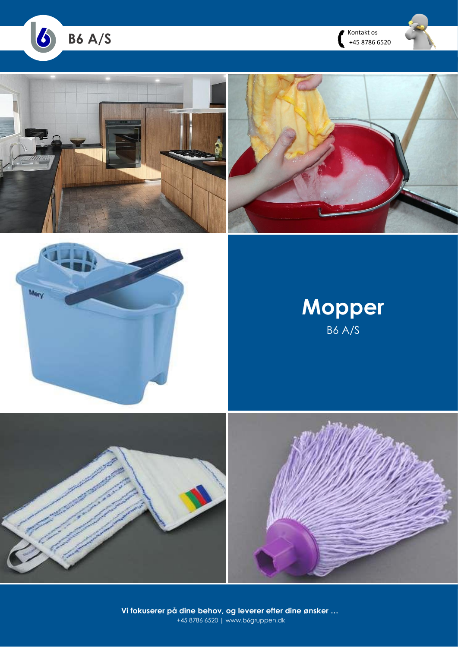







# **Mopper** B6 A/S





**Vi fokuserer på dine behov, og leverer efter dine ønsker …** +45 8786 6520 | www.b6gruppen.dk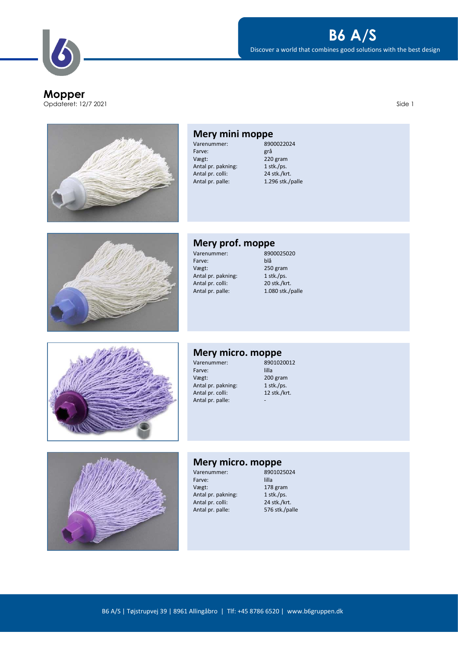**Mopper** Opdateret: 12/7 2021 Side 1

### **B6 A/S**

Discover a world that combines good solutions with the best design





Vægt: 220 gram<br>Antal pr. pakning: 220 gram Antal pr. pakning: 1 stk./ps.<br>Antal pr. colli: 24 stk./krt. Antal pr. colli:<br>Antal pr. palle: 1.296 stk./palle



### **Mery prof. moppe**<br>Varenummer: 8900025020

Varenummer: 890<br>Farve: blå Farve:<br>Vægt: Antal pr. pakning:<br>Antal pr. colli: Antal pr. paking.<br>
Antal pr. colli: 20 stk./krt.<br>
Antal pr. palle: 1.080 stk./

 $250$  gram<br>1 stk./ps.  $1.080$  stk./palle



### **Mery micro. moppe**<br>Varenummer: 8901020012

Varenummer: 890<br>11la - Farve: 11la Farve:<br>Vægt: Antal pr. pakning: 1 stk./ps.<br>Antal pr. colli: 12 stk./krt. Antal pr. colli: Antal pr. palle:

 $200$  gram<br>1 stk./ps.



## **Mery micro. moppe**<br>Varenummer: 8901025024

Varenummer: 890<br>11la Farve: 11 Farve: Vægt: 178 gram<br>Antal pr. pakning: 1 stk./ps. Antal pr. pakning: 1 stk./ps.<br>Antal pr. colli: 24 stk./krt. Antal pr. colli: 24 stk./krt.<br>
Antal pr. palle: 576 stk./palle Antal pr. palle: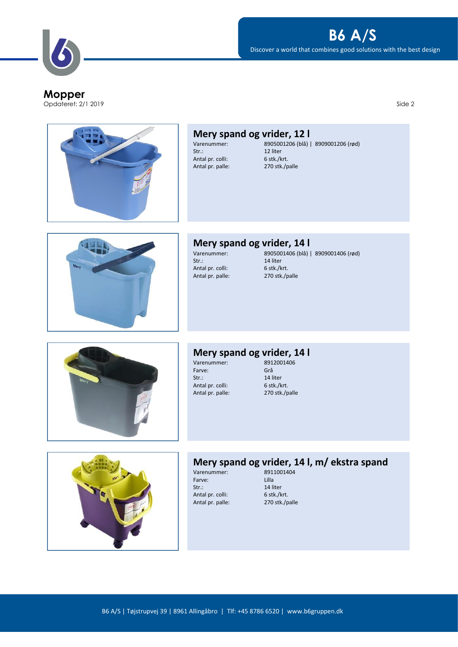Opdateret: 2/1 2019 Side 2

Discover a world that combines good solutions with the best design

**B6 A/S**



| Mery spand og vrider, 12 l |                                     |
|----------------------------|-------------------------------------|
| Varenummer:                | 8905001206 (blå)   8909001206 (rød) |
| Str.:                      | 12 liter                            |
| Antal pr. colli:           | 6 stk./krt.                         |
| Antal pr. palle:           | 270 stk./palle                      |



### **Mery spand og vrider, 14 l**

Antal pr. colli: 6 stk./krt.<br>Antal pr. palle: 270 stk./palle Antal pr. palle:

Antal pr. palle:

Varenummer: 8905001406 (blå) | 8909001406 (rød) 14 liter<br>6 stk./krt.



### **Mery spand og vrider, 14 l**

Varenummer: 891<br>Farve: Grå Farve: Grå Grå (1995)<br>Str.: 14 liter Antal pr. palle:

 $5$  stk./krt. Antal pr. colli: 6 stk./krt.<br>Antal pr. palle: 270 stk./palle



## **Mery spand og vrider, 14 l, m/ ekstra spand**

Varenummer: 8911<br>Farve: Iilla Farve: Str.: 14 liter<br>Antal pr. colli: 6 stk./krt. Antal pr. palle:

Antal pr. colli: 6 stk./krt.<br>Antal pr. palle: 270 stk./palle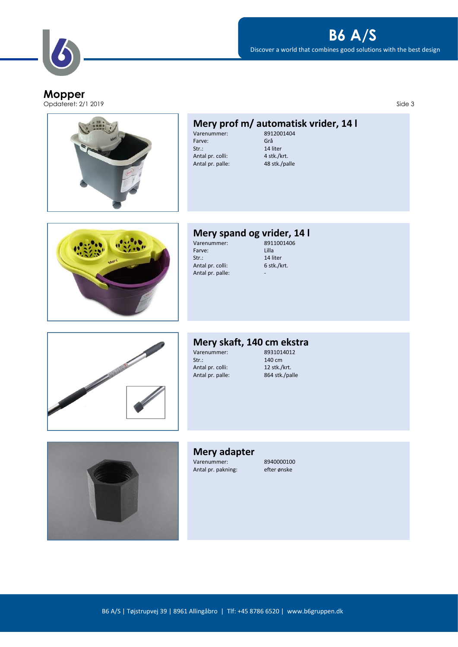

### Discover a world that combines good solutions with the best design **B6 A/S**

### **Mopper**

Opdateret: 2/1 2019 Side 3

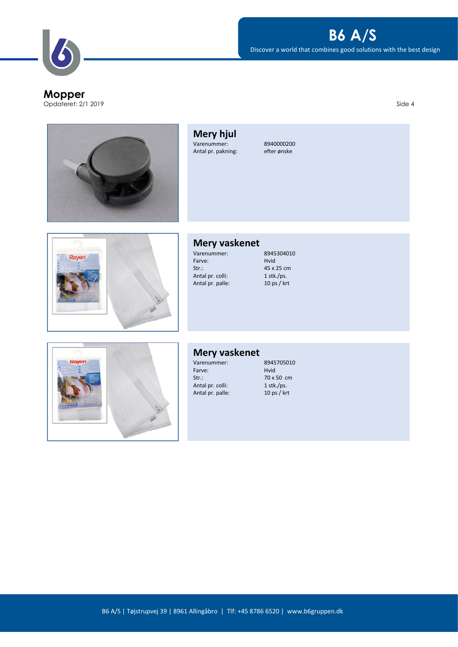### **B6 A/S**

Discover a world that combines good solutions with the best design

Opdateret: 2/1 2019 Side 4

**Mery hjul** Varenummer: 8940000200<br>Antal pr. pakning: efter ønske Antal pr. pakning:



### **Mery vaskenet**

Farve:<br>Str.: Antal pr. palle:

Varenummer: 8945304010<br>Farve: Hvid  $45 \times 25$  cm<br>1 stk./ps. Antal pr. colli: 1 stk./ps.<br>Antal pr. palle: 10 ps / krt



### **Mery vaskenet**

Farve:<br>Str.: Antal pr. colli: 1 stk./ps.<br>Antal pr. palle: 10 ps / krt Antal pr. palle:

Varenummer: 8945705010<br>Farve: Hvid 70 x 50 cm<br>1 stk./ps.

### B6 A/S | Tøjstrupvej 39 | 8961 Allingåbro | Tlf: +45 8786 6520 | www.b6gruppen.dk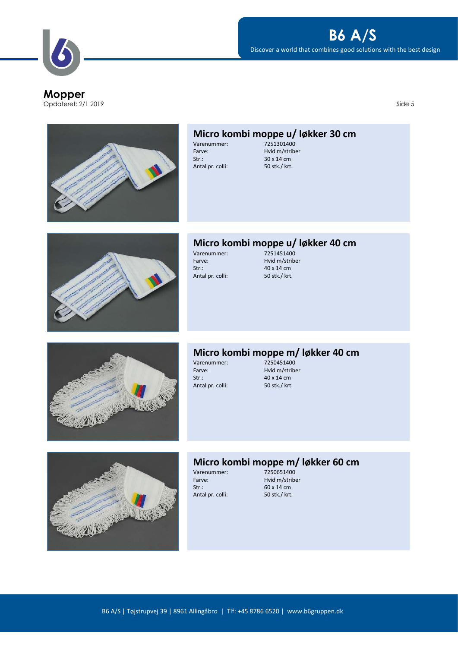Opdateret: 2/1 2019 Side 5



# **Micro kombi moppe u/ løkker 30 cm**<br>Varenummer: 7251301400

Varenummer:<br>Farve: Str.: 30 x 14 cm<br>Antal pr. colli: 50 stk./ krt. Antal pr. colli:

Hvid m/striber



## **Micro kombi moppe u/ løkker 40 cm**

Varenummer:<br>Farve: Farve: Hvid m/striber<br>Str.: 40 x 14 cm Antal pr. colli:

40 x 14 cm<br>50 stk./ krt.



# **Micro kombi moppe m/ løkker 40 cm**

Varenummer:<br>Farve: Farve: Hvid m/striber<br>Str.: 40 x 14 cm Antal pr. colli:

40 x 14 cm<br>50 stk./ krt.



## **Micro kombi moppe m/ løkker 60 cm**<br>Varenummer: 7250651400

Varenummer:<br>Farve: Str.: 60 x 14 cm<br>Antal pr. colli: 50 stk./ krt. Antal pr. colli:

Hvid m/striber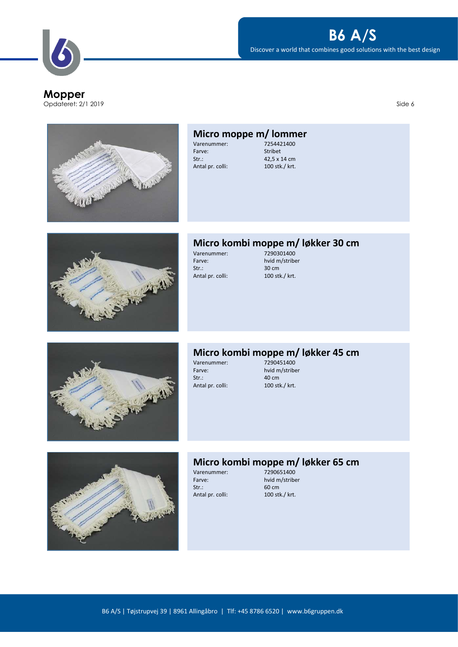Discover a world that combines good solutions with the best design

**B6 A/S**





#### **Micro moppe m/ lommer**<br>Varenummer: 7254421400 Varenummer:<br>Farve: Stribet Str.: 42,5 x 14 cm<br>Antal pr. colli: 100 stk./ krt. Antal pr. colli:



## **Micro kombi moppe m/ løkker 30 cm**<br>Varenummer: 7290301400

Varenummer:<br>Farve: Farve: hvid m/striber<br>Str.: 30 cm Antal pr. colli:

30 cm<br>100 stk./ krt.



# **Micro kombi moppe m/ løkker 45 cm**<br>Varenummer: 7290451400

Varenummer:<br>Farve: Farve: hvid m/striber<br>Str.: 40 cm Antal pr. colli:

40 cm<br>100 stk./ krt.



## **Micro kombi moppe m/ løkker 65 cm**<br>Varenummer: 7290651400

Varenummer:<br>Farve: Str.: 60 cm<br>Antal pr. colli: 60 cm<br>100 stk./ krt. Antal pr. colli:

hvid m/striber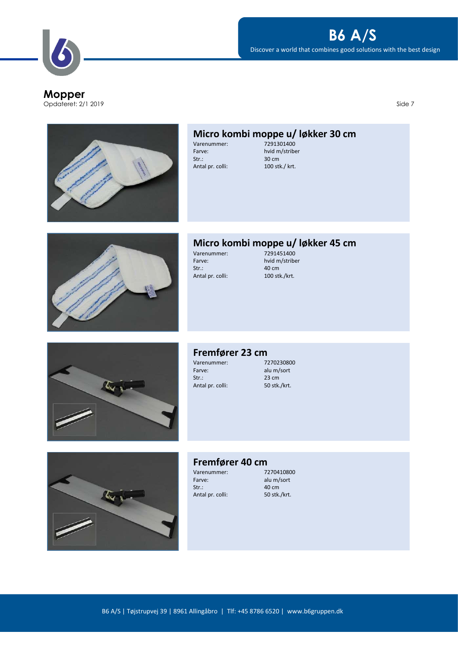**Mopper** Opdateret: 2/1 2019 Side 7



Discover a world that combines good solutions with the best design



# **Micro kombi moppe u/ løkker 30 cm**<br>Varenummer: 7291301400

Varenummer:<br>Farve: Str.: 30 cm<br>Antal pr. colli: 30 cm<br>100 stk./ krt. Antal pr. colli:

hvid m/striber



### **Micro kombi moppe u/ løkker 45 cm**

Varenummer:<br>Farve: Farve: hvid m/striber<br>Str.: 40 cm Antal pr. colli:

40 cm<br>100 stk./krt.



### **Fremfører 23 cm**<br>Varenummer: 7270230800

Varenummer:<br>Farve: Farve: alu m/sort<br>Str.: 23 cm Antal pr. colli:

23 cm<br>50 stk./krt.



### **Fremfører 40 cm**<br>Varenummer: 7270410800

Varenummer:<br>Farve: Str.: 40 cm<br>Antal pr. colli: 50 stk./krt. Antal pr. colli:

alu m/sort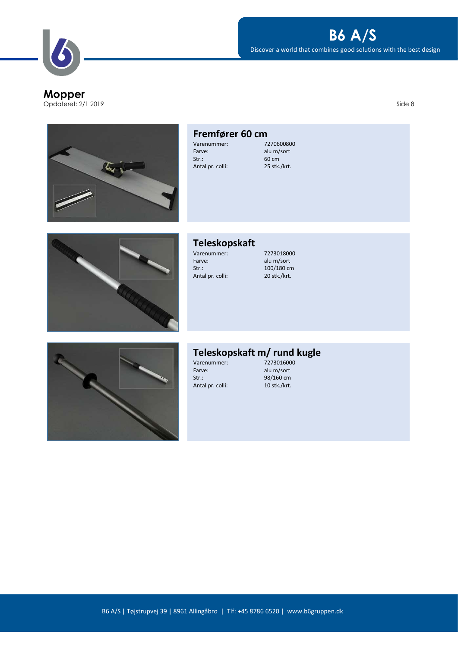**Mopper** Opdateret: 2/1 2019 Side 8

# **B6 A/S**

Discover a world that combines good solutions with the best design



#### **Fremfører 60 cm**<br>Varenummer: 7270600800 Varenummer:<br>Farve: alu m/sort Str.: 60 cm<br>Antal pr. colli: 60 cm<br>25 stk./krt. Antal pr. colli:



### **Teleskopskaft**

Farve: alu m/sort<br>Str.: 100/180 cm Antal pr. colli:

Varenummer: 7273018000<br>Farve: alu m/sort 100/180 cm<br>20 stk./krt.



### **Teleskopskaft m/ rund kugle**

Varenummer: 7273016000 Farve: alu m/sort<br>Str.: 38/160 cm Antal pr. colli:

98/160 cm<br>10 stk./krt.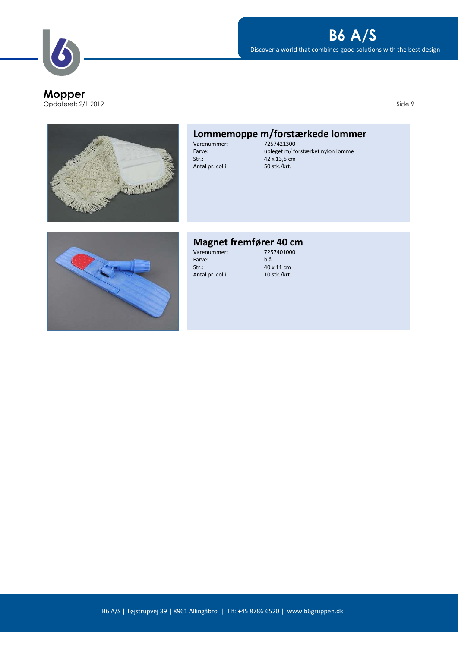

Opdateret: 2/1 2019 Side 9



# **Lommemoppe m/forstærkede lommer**

Varenummer:<br>Farve: Str.: 42 x 13,5 cm Antal pr. colli: 50 stk./krt.

Farve:<br>Str.:

Farve: ubleget m/ forstærket nylon lomme



## **Magnet fremfører 40 cm**<br>Varenummer: 7257401000

Varenummer: 725<br>Farve: blå 40 x 11 cm<br>10 stk./krt. Antal pr. colli: